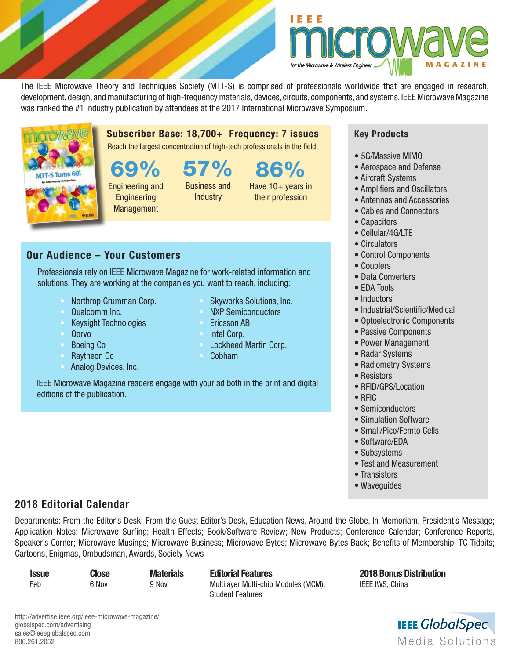

86%

Have 10+ years in their profession

The IEEE Microwave Theory and Techniques Society (MTT-S) is comprised of professionals worldwide that are engaged in research, development, design, and manufacturing of high-frequency materials, devices, circuits, components, and systems. IEEE Microwave Magazine was ranked the #1 industry publication by attendees at the 2017 International Microwave Symposium.



Subscriber Base: 18,700+ Frequency: 7 issues

Reach the largest concentration of high-tech professionals in the field:

69% 57%

Engineering and **Engineering Management** 

Business and **Industry** 

## Our Audience – Your Customers

Professionals rely on IEEE Microwave Magazine for work-related information and solutions. They are working at the companies you want to reach, including:

- Northrop Grumman Corp.
- Qualcomm Inc.
- Keysight Technologies
- Qorvo
- Boeing Co
- Raytheon Co
- Analog Devices, Inc.

IEEE Microwave Magazine readers engage with your ad both in the print and digital editions of the publication.

## Key Products

- 5G/Massive MIMO
- Aerospace and Defense
- Aircraft Systems
- Amplifiers and Oscillators
- Antennas and Accessories
- Cables and Connectors
- Capacitors
- Cellular/4G/LTE
- Circulators
- Control Components
- Couplers
- Data Converters
- EDA Tools
- Inductors
- Industrial/Scientific/Medical
- Optoelectronic Components
- Passive Components
- Power Management
- Radar Systems
- Radiometry Systems
- Resistors
- RFID/GPS/Location
- RFIC
- Semiconductors
- Simulation Software
- Small/Pico/Femto Cells
- Software/EDA
- Subsystems
- Test and Measurement
- Transistors
- Waveguides

## 2018 Editorial Calendar

Departments: From the Editor's Desk; From the Guest Editor's Desk, Education News, Around the Globe, In Memoriam, President's Message; Application Notes; Microwave Surfing; Health Effects; Book/Software Review; New Products; Conference Calendar; Conference Reports, Speaker's Corner; Microwave Musings; Microwave Business; Microwave Bytes; Microwave Bytes Back; Benefits of Membership; TC Tidbits; Cartoons, Enigmas, Ombudsman, Awards, Society News

| <b>Issue</b> | <b>Close</b> | <b>Materi</b> |
|--------------|--------------|---------------|
| Feb          | 6 Nov        | 9 Nov         |

Issue Close Materials Editorial Features 2018 Bonus Distribution Multilayer Multi-chip Modules (MCM), IEEE IWS, China Student Features



• Skyworks Solutions, Inc. **NXP Semiconductors** 

- Fricsson AB
- 
- Intel Corp.
- Lockheed Martin Corp. • Cobham